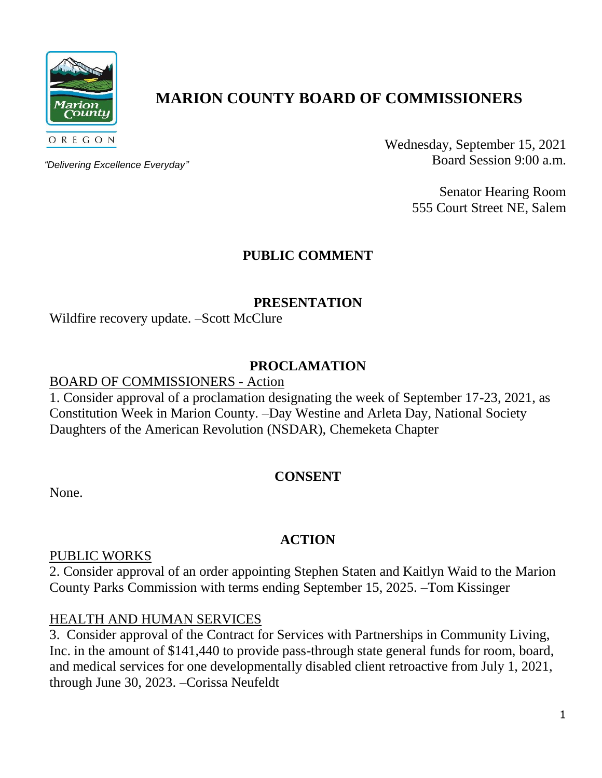

# **MARION COUNTY BOARD OF COMMISSIONERS**

*"Delivering Excellence Everyday"*

Wednesday, September 15, 2021 Board Session 9:00 a.m.

> Senator Hearing Room 555 Court Street NE, Salem

# **PUBLIC COMMENT**

#### **PRESENTATION**

Wildfire recovery update. –Scott McClure

## **PROCLAMATION**

#### BOARD OF COMMISSIONERS - Action

1. Consider approval of a proclamation designating the week of September 17-23, 2021, as Constitution Week in Marion County. –Day Westine and Arleta Day, National Society Daughters of the American Revolution (NSDAR), Chemeketa Chapter

#### **CONSENT**

None.

# **ACTION**

#### PUBLIC WORKS

2. Consider approval of an order appointing Stephen Staten and Kaitlyn Waid to the Marion County Parks Commission with terms ending September 15, 2025. –Tom Kissinger

## HEALTH AND HUMAN SERVICES

3. Consider approval of the Contract for Services with Partnerships in Community Living, Inc. in the amount of \$141,440 to provide pass-through state general funds for room, board, and medical services for one developmentally disabled client retroactive from July 1, 2021, through June 30, 2023. –Corissa Neufeldt